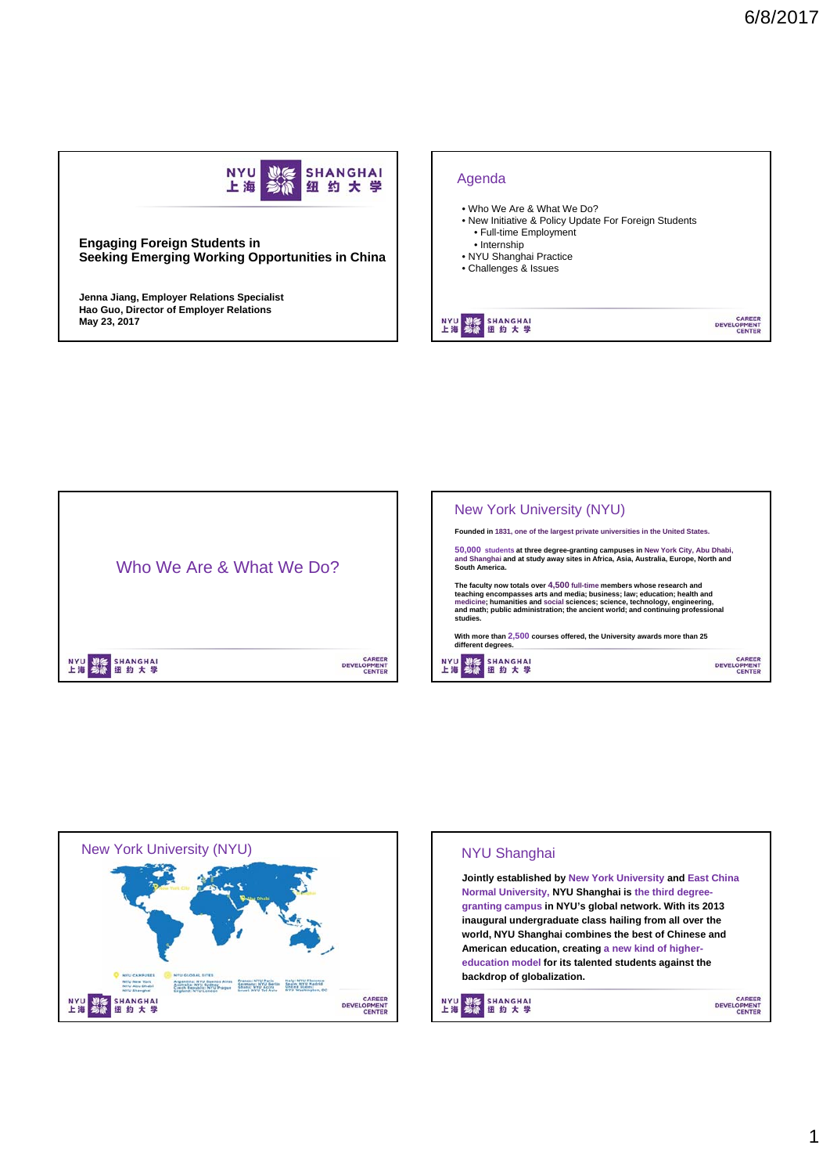

## **Engaging Foreign Students in Seeking Emerging Working Opportunities in China**

**Jenna Jiang, Employer Relations Specialist Hao Guo, Director of Employer Relations May 23, 2017**







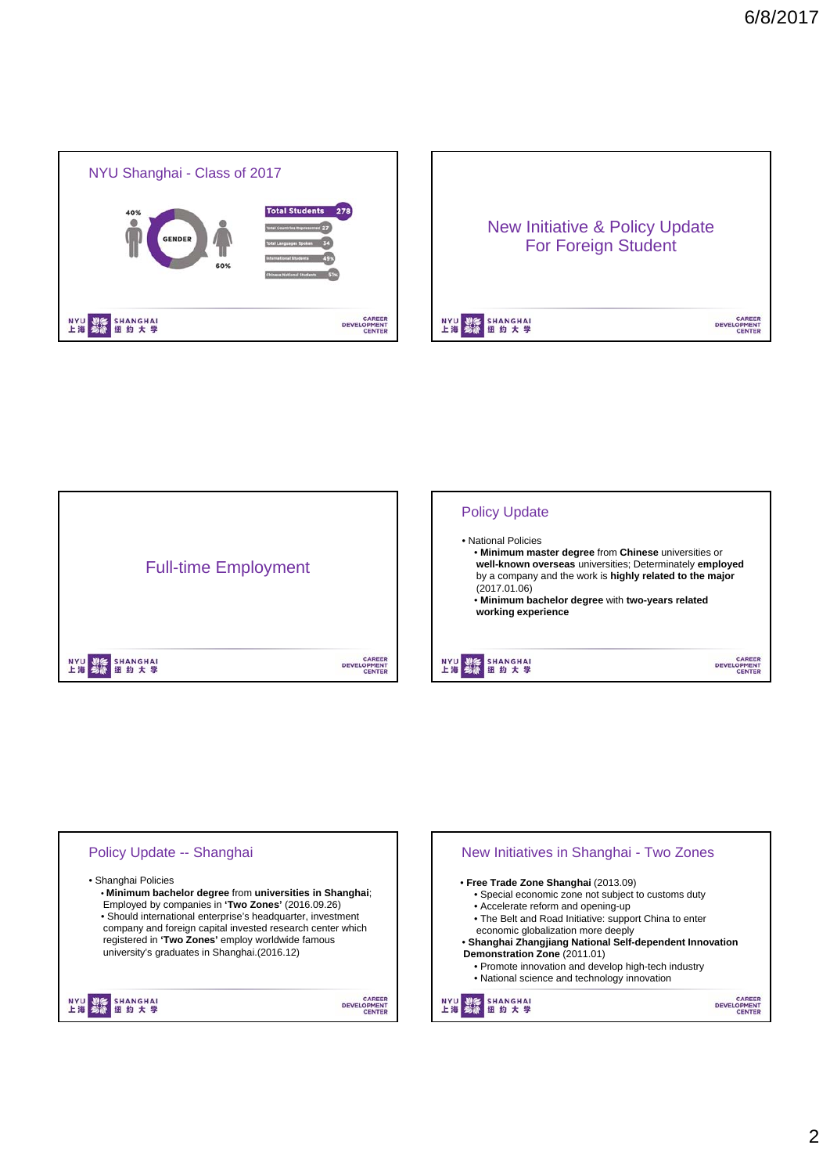





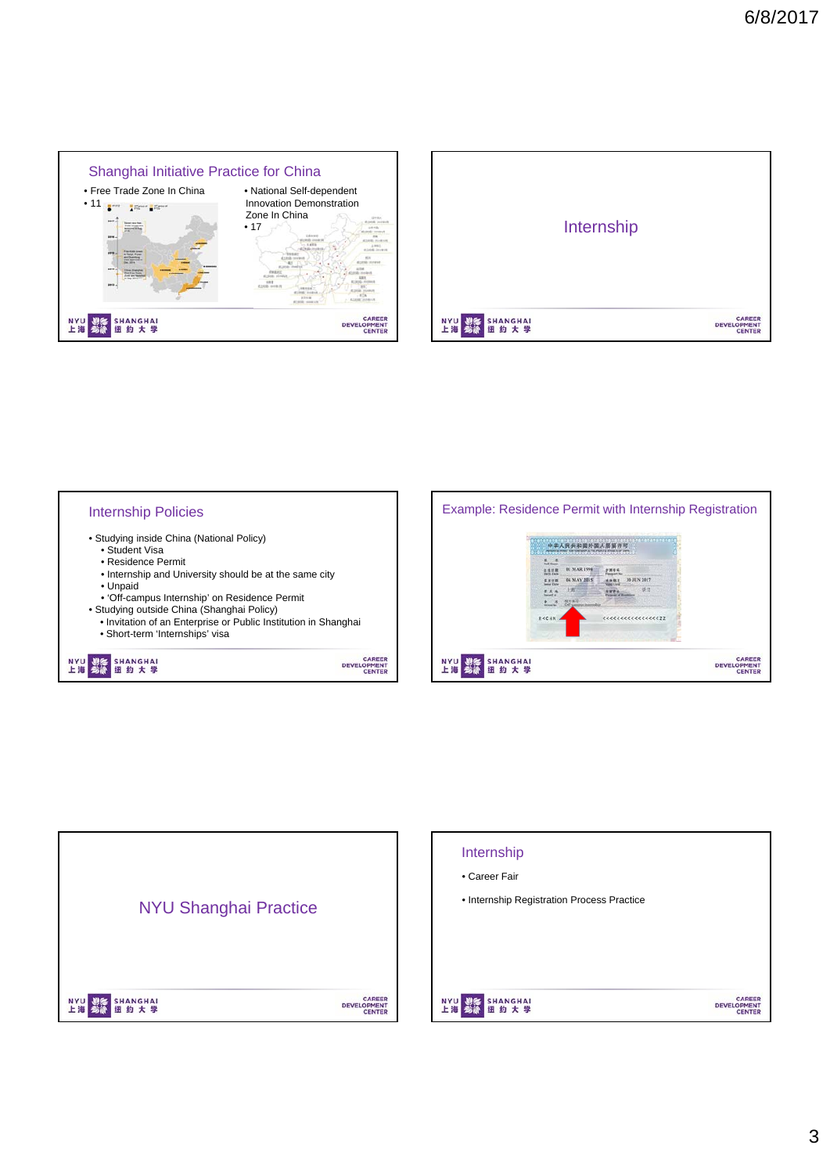